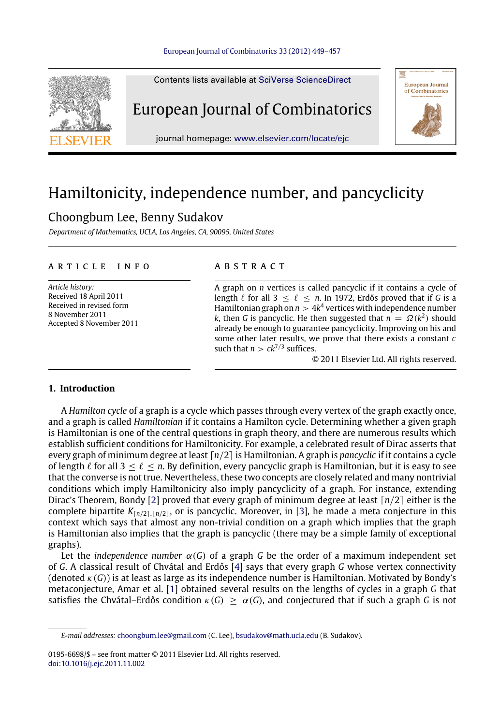#### [European Journal of Combinatorics 33 \(2012\) 449–457](http://dx.doi.org/10.1016/j.ejc.2011.11.002)



# Hamiltonicity, independence number, and pancyclicity

## Choongbum Lee, Benny Sudakov

*Department of Mathematics, UCLA, Los Angeles, CA, 90095, United States*

#### A R T I C L E I N F O

*Article history:* Received 18 April 2011 Received in revised form 8 November 2011 Accepted 8 November 2011

#### a b s t r a c t

A graph on *n* vertices is called pancyclic if it contains a cycle of length  $\ell$  for all 3  $\leq \ell \leq n$ . In 1972, Erdős proved that if *G* is a Hamiltonian graph on  $n > 4k^4$  vertices with independence number *k*, then *G* is pancyclic. He then suggested that  $n = \Omega(k^2)$  should already be enough to guarantee pancyclicity. Improving on his and some other later results, we prove that there exists a constant *c* such that  $n > ck^{7/3}$  suffices.

© 2011 Elsevier Ltd. All rights reserved.

#### **1. Introduction**

A *Hamilton cycle* of a graph is a cycle which passes through every vertex of the graph exactly once, and a graph is called *Hamiltonian* if it contains a Hamilton cycle. Determining whether a given graph is Hamiltonian is one of the central questions in graph theory, and there are numerous results which establish sufficient conditions for Hamiltonicity. For example, a celebrated result of Dirac asserts that every graph of minimum degree at least ⌈*n*/2⌉ is Hamiltonian. A graph is *pancyclic* if it contains a cycle of length  $\ell$  for all  $3 < \ell < n$ . By definition, every pancyclic graph is Hamiltonian, but it is easy to see that the converse is not true. Nevertheless, these two concepts are closely related and many nontrivial conditions which imply Hamiltonicity also imply pancyclicity of a graph. For instance, extending Dirac's Theorem, Bondy [\[2\]](#page-8-0) proved that every graph of minimum degree at least ⌈*n*/2⌉ either is the complete bipartite  $K_{\lceil n/2 \rceil, \lceil n/2 \rceil}$ , or is pancyclic. Moreover, in [\[3\]](#page-8-1), he made a meta conjecture in this context which says that almost any non-trivial condition on a graph which implies that the graph is Hamiltonian also implies that the graph is pancyclic (there may be a simple family of exceptional graphs).

Let the *independence number*  $\alpha(G)$  of a graph G be the order of a maximum independent set of *G*. A classical result of Chvátal and Erdős [\[4\]](#page-8-2) says that every graph *G* whose vertex connectivity (denoted  $\kappa(G)$ ) is at least as large as its independence number is Hamiltonian. Motivated by Bondy's metaconjecture, Amar et al. [\[1\]](#page-8-3) obtained several results on the lengths of cycles in a graph *G* that satisfies the Chvátal–Erdős condition  $\kappa(G) \geq \alpha(G)$ , and conjectured that if such a graph *G* is not

*E-mail addresses:* [choongbum.lee@gmail.com](mailto:choongbum.lee@gmail.com) (C. Lee), [bsudakov@math.ucla.edu](mailto:bsudakov@math.ucla.edu) (B. Sudakov).

<sup>0195-6698/\$ –</sup> see front matter © 2011 Elsevier Ltd. All rights reserved. [doi:10.1016/j.ejc.2011.11.002](http://dx.doi.org/10.1016/j.ejc.2011.11.002)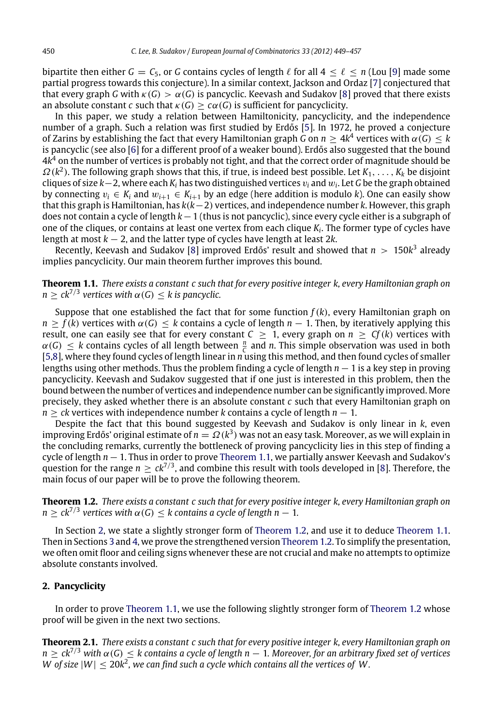bipartite then either  $G = C_5$ , or G contains cycles of length  $\ell$  for all  $4 < \ell < n$  (Lou [\[9\]](#page-8-4) made some partial progress towards this conjecture). In a similar context, Jackson and Ordaz [\[7\]](#page-8-5) conjectured that that every graph *G* with  $\kappa(G) > \alpha(G)$  is pancyclic. Keevash and Sudakov [\[8\]](#page-8-6) proved that there exists an absolute constant *c* such that  $\kappa(G) > c\alpha(G)$  is sufficient for pancyclicity.

In this paper, we study a relation between Hamiltonicity, pancyclicity, and the independence number of a graph. Such a relation was first studied by Erdős [\[5\]](#page-8-7). In 1972, he proved a conjecture of Zarins by establishing the fact that every Hamiltonian graph *G* on  $n \geq 4k^4$  vertices with  $\alpha(G) \leq k$ is pancyclic (see also [\[6\]](#page-8-8) for a different proof of a weaker bound). Erdős also suggested that the bound 4*k* <sup>4</sup> on the number of vertices is probably not tight, and that the correct order of magnitude should be Ω(*k* 2 ). The following graph shows that this, if true, is indeed best possible. Let *K*1, . . . , *K<sup>k</sup>* be disjoint cliques of size *k*−2, where each *K<sup>i</sup>* has two distinguished vertices v*<sup>i</sup>* and w*<sup>i</sup>* . Let *G* be the graph obtained by connecting  $v_i \in K_i$  and  $w_{i+1} \in K_{i+1}$  by an edge (here addition is modulo *k*). One can easily show that this graph is Hamiltonian, has *k*(*k*−2) vertices, and independence number *k*. However, this graph does not contain a cycle of length *k*−1 (thus is not pancyclic), since every cycle either is a subgraph of one of the cliques, or contains at least one vertex from each clique *K<sup>i</sup>* . The former type of cycles have length at most *k* − 2, and the latter type of cycles have length at least 2*k*.

Recently, Keevash and Sudakov [\[8\]](#page-8-6) improved Erdős' result and showed that *n* > 150*k* 3 already implies pancyclicity. Our main theorem further improves this bound.

<span id="page-1-0"></span>**Theorem 1.1.** *There exists a constant c such that for every positive integer k, every Hamiltonian graph on*  $n \geq c k^{7/3}$  vertices with  $\alpha(G) \leq k$  is pancyclic.

Suppose that one established the fact that for some function  $f(k)$ , every Hamiltonian graph on  $n \ge f(k)$  vertices with  $\alpha(G) \le k$  contains a cycle of length  $n-1$ . Then, by iteratively applying this result, one can easily see that for every constant  $C \geq 1$ , every graph on  $n \geq Cf(k)$  vertices with  $\alpha(G) \leq k$  contains cycles of all length between  $\frac{n}{C}$  and *n*. This simple observation was used in both *C* [\[5,](#page-8-7)[8\]](#page-8-6), where they found cycles of length linear in *n* using this method, and then found cycles of smaller lengths using other methods. Thus the problem finding a cycle of length *n* − 1 is a key step in proving pancyclicity. Keevash and Sudakov suggested that if one just is interested in this problem, then the bound between the number of vertices and independence number can be significantly improved. More precisely, they asked whether there is an absolute constant *c* such that every Hamiltonian graph on *n* ≥ *ck* vertices with independence number *k* contains a cycle of length *n* − 1.

Despite the fact that this bound suggested by Keevash and Sudakov is only linear in *k*, even improving Erdős' original estimate of  $n=\varOmega(k^3)$  was not an easy task. Moreover, as we will explain in the concluding remarks, currently the bottleneck of proving pancyclicity lies in this step of finding a cycle of length *n* − 1. Thus in order to prove [Theorem 1.1,](#page-1-0) we partially answer Keevash and Sudakov's question for the range  $n \geq ck^{7/3}$ , and combine this result with tools developed in [\[8\]](#page-8-6). Therefore, the main focus of our paper will be to prove the following theorem.

<span id="page-1-2"></span>**Theorem 1.2.** *There exists a constant c such that for every positive integer k, every Hamiltonian graph on*  $n \geq c k^{7/3}$  vertices with  $\alpha(G) \leq k$  contains a cycle of length  $n-1.$ 

In Section [2,](#page-1-1) we state a slightly stronger form of [Theorem 1.2,](#page-1-2) and use it to deduce [Theorem 1.1.](#page-1-0) Then in Sections [3](#page-2-0) and [4,](#page-5-0) we prove the strengthened version [Theorem 1.2.](#page-1-2) To simplify the presentation, we often omit floor and ceiling signs whenever these are not crucial and make no attempts to optimize absolute constants involved.

#### <span id="page-1-1"></span>**2. Pancyclicity**

In order to prove [Theorem 1.1,](#page-1-0) we use the following slightly stronger form of [Theorem 1.2](#page-1-2) whose proof will be given in the next two sections.

<span id="page-1-3"></span>**Theorem 2.1.** *There exists a constant c such that for every positive integer k, every Hamiltonian graph on n* ≥ *ck*<sup>7</sup>/<sup>3</sup> *with* α(*G*) ≤ *k contains a cycle of length n* − 1*. Moreover, for an arbitrary fixed set of vertices*  $W$  of size  $|W| \leq 20k^2$ , we can find such a cycle which contains all the vertices of  $W$ .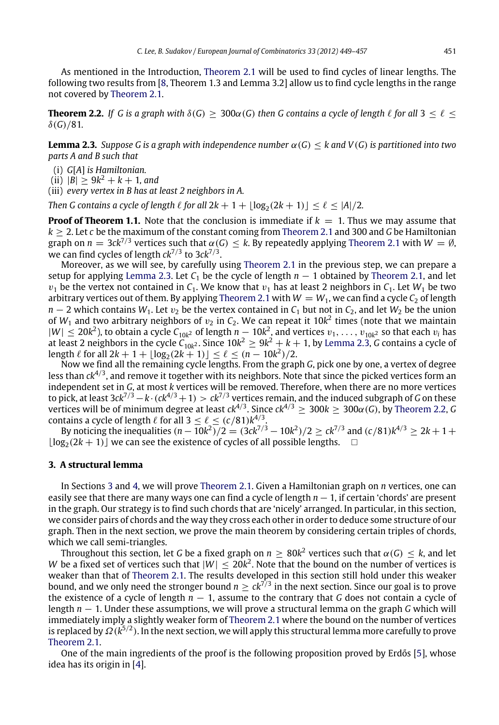As mentioned in the Introduction, [Theorem 2.1](#page-1-3) will be used to find cycles of linear lengths. The following two results from [\[8,](#page-8-6) Theorem 1.3 and Lemma 3.2] allow us to find cycle lengths in the range not covered by [Theorem 2.1.](#page-1-3)

<span id="page-2-2"></span>**Theorem 2.2.** If G is a graph with  $\delta(G) > 300\alpha(G)$  then G contains a cycle of length  $\ell$  for all 3 <  $\ell$  <  $\delta(G)/81$ .

<span id="page-2-1"></span>**Lemma 2.3.** *Suppose G is a graph with independence number*  $\alpha(G) < k$  and  $V(G)$  *is partitioned into two parts A and B such that*

(i) *G*[*A*] *is Hamiltonian.*

 $(iii)$   $|B| \geq 9k^2 + k + 1$ , and

(iii) *every vertex in B has at least 2 neighbors in A.*

*Then G contains a cycle of length*  $\ell$  *for all*  $2k + 1 + \lfloor \log_2(2k + 1) \rfloor \leq \ell \leq |A|/2$ .

**Proof of Theorem 1.1.** Note that the conclusion is immediate if  $k = 1$ . Thus we may assume that *k* ≥ 2. Let *c* be the maximum of the constant coming from [Theorem 2.1](#page-1-3) and 300 and *G* be Hamiltonian graph on  $n = 3ck^{7/3}$  vertices such that  $\alpha(G) \leq k$ . By repeatedly applying [Theorem 2.1](#page-1-3) with  $W = \emptyset$ , we can find cycles of length  $ck^{7/3}$  to 3 $ck^{7/3}$ .

Moreover, as we will see, by carefully using [Theorem 2.1](#page-1-3) in the previous step, we can prepare a setup for applying [Lemma 2.3.](#page-2-1) Let  $C_1$  be the cycle of length  $n-1$  obtained by [Theorem 2.1,](#page-1-3) and let  $v_1$  be the vertex not contained in  $C_1$ . We know that  $v_1$  has at least 2 neighbors in  $C_1$ . Let  $W_1$  be two arbitrary vertices out of them. By applying [Theorem 2.1](#page-1-3) with  $W = W_1$ , we can find a cycle  $C_2$  of length *n* − 2 which contains  $W_1$ . Let  $v_2$  be the vertex contained in  $C_1$  but not in  $C_2$ , and let  $W_2$  be the union of  $W_1$  and two arbitrary neighbors of  $v_2$  in  $C_2$ . We can repeat it 10 $k^2$  times (note that we maintain  $|W| \le 20k^2$ ), to obtain a cycle  $C_{10k^2}$  of length  $n-10k^2$ , and vertices  $v_1, \ldots, v_{10k^2}$  so that each  $v_i$  has at least 2 neighbors in the cycle  $C_{10k^2}$ . Since 10 $k^2 \ge 9k^2+k+1$ , by [Lemma 2.3,](#page-2-1) *G* contains a cycle of length  $\ell$  for all  $2k + 1 + \lfloor \log_2(2k + 1) \rfloor \le \ell \le (n - 10k^2)/2$ .

Now we find all the remaining cycle lengths. From the graph *G*, pick one by one, a vertex of degree less than *ck*<sup>4</sup>/<sup>3</sup> , and remove it together with its neighbors. Note that since the picked vertices form an independent set in *G*, at most *k* vertices will be removed. Therefore, when there are no more vertices to pick, at least 3*ck*<sup>7</sup>/3−*k*·(*ck*<sup>4</sup>/3+1) > *ck*<sup>7</sup>/<sup>3</sup> vertices remain, and the induced subgraph of *G* on these vertices will be of minimum degree at least *ck*<sup>4</sup>/<sup>3</sup> . Since *ck*<sup>4</sup>/<sup>3</sup> ≥ 300*k* ≥ 300α(*G*), by [Theorem 2.2,](#page-2-2) *G* contains a cycle of length  $\ell$  for all  $3 \leq \ell \leq (c/81)k^{4/3}$ .

By noticing the inequalities  $(n - 10k^2)/2 = (3ck^{7/3} - 10k^2)/2 \ge ck^{7/3}$  and  $(c/81)k^{4/3} \ge 2k + 1 +$  $\lfloor \log_2(2k + 1) \rfloor$  we can see the existence of cycles of all possible lengths.  $\Box$ 

#### <span id="page-2-0"></span>**3. A structural lemma**

In Sections [3](#page-2-0) and [4,](#page-5-0) we will prove [Theorem 2.1.](#page-1-3) Given a Hamiltonian graph on *n* vertices, one can easily see that there are many ways one can find a cycle of length *n* − 1, if certain 'chords' are present in the graph. Our strategy is to find such chords that are 'nicely' arranged. In particular, in this section, we consider pairs of chords and the way they cross each other in order to deduce some structure of our graph. Then in the next section, we prove the main theorem by considering certain triples of chords, which we call semi-triangles.

Throughout this section, let *G* be a fixed graph on  $n \geq 80k^2$  vertices such that  $\alpha(G) \leq k$ , and let *W* be a fixed set of vertices such that  $|W| \leq 20k^2$ . Note that the bound on the number of vertices is weaker than that of [Theorem 2.1.](#page-1-3) The results developed in this section still hold under this weaker bound, and we only need the stronger bound  $n \geq c k^{7/3}$  in the next section. Since our goal is to prove the existence of a cycle of length *n* − 1, assume to the contrary that *G* does not contain a cycle of length *n* − 1. Under these assumptions, we will prove a structural lemma on the graph *G* which will immediately imply a slightly weaker form of [Theorem 2.1](#page-1-3) where the bound on the number of vertices is replaced by Ω (k<sup>5/2</sup>). In the next section, we will apply this structural lemma more carefully to prove [Theorem 2.1.](#page-1-3)

One of the main ingredients of the proof is the following proposition proved by Erdős [\[5\]](#page-8-7), whose idea has its origin in [\[4\]](#page-8-2).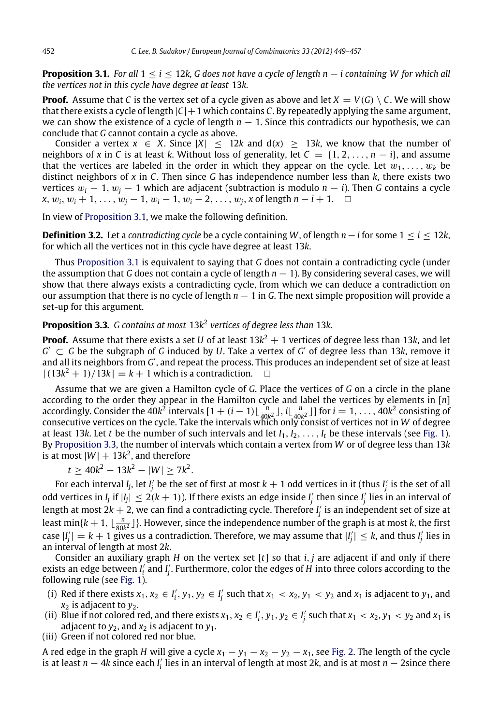<span id="page-3-0"></span>**Proposition 3.1.** *For all* 1 ≤ *i* ≤ 12*k, G does not have a cycle of length n* − *i containing W for which all the vertices not in this cycle have degree at least* 13*k.*

**Proof.** Assume that *C* is the vertex set of a cycle given as above and let  $X = V(G) \setminus C$ . We will show that there exists a cycle of length  $|C|+1$  which contains *C*. By repeatedly applying the same argument, we can show the existence of a cycle of length  $n - 1$ . Since this contradicts our hypothesis, we can conclude that *G* cannot contain a cycle as above.

Consider a vertex  $x \in X$ . Since  $|X| \le 12k$  and  $d(x) \ge 13k$ , we know that the number of neighbors of *x* in *C* is at least *k*. Without loss of generality, let  $C = \{1, 2, ..., n - i\}$ , and assume that the vertices are labeled in the order in which they appear on the cycle. Let  $w_1, \ldots, w_k$  be distinct neighbors of *x* in *C*. Then since *G* has independence number less than *k*, there exists two vertices  $w_i - 1$ ,  $w_j - 1$  which are adjacent (subtraction is modulo  $n - i$ ). Then *G* contains a cycle *x*,  $w_i$ ,  $w_i + 1$ , ...,  $w_i - 1$ ,  $w_i - 1$ ,  $w_i - 2$ , ...,  $w_i$ , *x* of length  $n - i + 1$ . □

In view of [Proposition 3.1,](#page-3-0) we make the following definition.

**Definition 3.2.** Let a *contradicting cycle* be a cycle containing *W*, of length *n*−*i* for some  $1 \le i \le 12k$ , for which all the vertices not in this cycle have degree at least 13*k*.

Thus [Proposition 3.1](#page-3-0) is equivalent to saying that *G* does not contain a contradicting cycle (under the assumption that *G* does not contain a cycle of length  $n - 1$ ). By considering several cases, we will show that there always exists a contradicting cycle, from which we can deduce a contradiction on our assumption that there is no cycle of length *n* − 1 in *G*. The next simple proposition will provide a set-up for this argument.

#### <span id="page-3-1"></span>**Proposition 3.3.** *G contains at most* 13*k* 2 *vertices of degree less than* 13*k.*

**Proof.** Assume that there exists a set  $U$  of at least 13 $k^2+1$  vertices of degree less than 13 $k$ , and let  $G' \subset G$  be the subgraph of *G* induced by *U*. Take a vertex of  $G'$  of degree less than 13k, remove it and all its neighbors from *G'*, and repeat the process. This produces an independent set of size at least  $\lceil (13k^2 + 1)/13k \rceil = k + 1$  which is a contradiction.  $\Box$ 

Assume that we are given a Hamilton cycle of *G*. Place the vertices of *G* on a circle in the plane according to the order they appear in the Hamilton cycle and label the vertices by elements in [*n*] accordingly. Consider the  $40k^2$  intervals  $[1 + (i-1)\lfloor \frac{n}{40k^2} \rfloor, i\lfloor \frac{n}{40k^2} \rfloor]$  for  $i = 1, ..., 40k^2$  consisting of consecutive vertices on the cycle. Take the intervals which only consist of vertices not in *W* of degree at least 13*k*. Let *t* be the number of such intervals and let  $I_1, I_2, \ldots, I_t$  be these intervals (see [Fig. 1\)](#page-4-0). By [Proposition 3.3,](#page-3-1) the number of intervals which contain a vertex from *W* or of degree less than 13*k* is at most  $|W|+13k^2$ , and therefore

 $t \geq 40k^2 - 13k^2 - |W| \geq 7k^2$ .

For each interval *I<sub>j</sub>*, let *I'<sub>j</sub>* be the set of first at most  $k+1$  odd vertices in it (thus *I'<sub>j</sub>* is the set of all odd vertices in *I<sub>j</sub>* if  $|I_j| \leq 2(k+1)$ ). If there exists an edge inside *I'<sub>j</sub>* then since *I'<sub>j</sub>* lies in an interval of length at most 2k  $+$  2, we can find a contradicting cycle. Therefore  $I_j^\prime$  is an independent set of size at least  $\min\{k+1, \lfloor \frac{n}{80k^2} \rfloor\}$ . However, since the independence number of the graph is at most *k*, the first case  $|I'_j| = k + 1$  gives us a contradiction. Therefore, we may assume that  $|I'_j| \leq k$ , and thus  $I'_j$  lies in an interval of length at most 2*k*.

Consider an auxiliary graph *H* on the vertex set [*t*] so that *i*, *j* are adjacent if and only if there exists an edge between *I'*<sub>i</sub> and *I'<sub>j</sub>*. Furthermore, color the edges of *H* into three colors according to the following rule (see [Fig. 1\)](#page-4-0).

- (i) Red if there exists  $x_1, x_2 \in I'_i, y_1, y_2 \in I'_j$  such that  $x_1 < x_2, y_1 < y_2$  and  $x_1$  is adjacent to  $y_1$ , and *x*<sup>2</sup> is adjacent to *y*2.
- (ii) Blue if not colored red, and there exists  $x_1, x_2 \in I'_i$ ,  $y_1, y_2 \in I'_j$  such that  $x_1 < x_2, y_1 < y_2$  and  $x_1$  is adjacent to  $y_2$ , and  $x_2$  is adjacent to  $y_1$ .
- (iii) Green if not colored red nor blue.

A red edge in the graph *H* will give a cycle  $x_1 - y_1 - x_2 - y_2 - x_1$ , see [Fig. 2.](#page-4-1) The length of the cycle is at least *n* − 4*k* since each *I* ′ *i* lies in an interval of length at most 2*k*, and is at most *n* − 2since there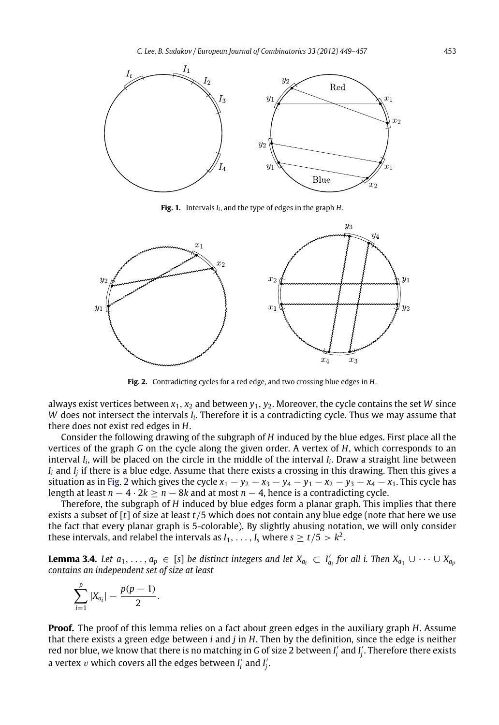<span id="page-4-0"></span>

**Fig. 1.** Intervals *I<sup>i</sup>* , and the type of edges in the graph *H*.

<span id="page-4-1"></span>

**Fig. 2.** Contradicting cycles for a red edge, and two crossing blue edges in *H*.

always exist vertices between *x*1, *x*<sup>2</sup> and between *y*1, *y*2. Moreover, the cycle contains the set *W* since *W* does not intersect the intervals *I<sub>i</sub>*. Therefore it is a contradicting cycle. Thus we may assume that there does not exist red edges in *H*.

Consider the following drawing of the subgraph of *H* induced by the blue edges. First place all the vertices of the graph *G* on the cycle along the given order. A vertex of *H*, which corresponds to an interval *I<sup>i</sup>* , will be placed on the circle in the middle of the interval *I<sup>i</sup>* . Draw a straight line between *I<sup>i</sup>* and *I<sup>j</sup>* if there is a blue edge. Assume that there exists a crossing in this drawing. Then this gives a situation as in [Fig. 2](#page-4-1) which gives the cycle  $x_1 - y_2 - x_3 - y_4 - y_1 - x_2 - y_3 - x_4 - x_1$ . This cycle has length at least *n* − 4 · 2*k* ≥ *n* − 8*k* and at most *n* − 4, hence is a contradicting cycle.

Therefore, the subgraph of *H* induced by blue edges form a planar graph. This implies that there exists a subset of [*t*] of size at least *t*/5 which does not contain any blue edge (note that here we use the fact that every planar graph is 5-colorable). By slightly abusing notation, we will only consider these intervals, and relabel the intervals as  $I_1, \ldots, I_s$  where  $s \geq t/5 > k^2$ .

**Lemma 3.4.** Let  $a_1, \ldots, a_p \in [s]$  be distinct integers and let  $X_{a_i} \subset I'_{a_i}$  for all i. Then  $X_{a_1} \cup \cdots \cup X_{a_p}$ *contains an independent set of size at least*

<span id="page-4-2"></span>
$$
\sum_{i=1}^p |X_{a_i}| - \frac{p(p-1)}{2}.
$$

**Proof.** The proof of this lemma relies on a fact about green edges in the auxiliary graph *H*. Assume that there exists a green edge between *i* and *j* in *H*. Then by the definition, since the edge is neither red nor blue, we know that there is no matching in *G* of size 2 between *I* ′ *i* and *I* ′ *j* . Therefore there exists a vertex  $v$  which covers all the edges between  $I'_i$  and  $I'_j$ .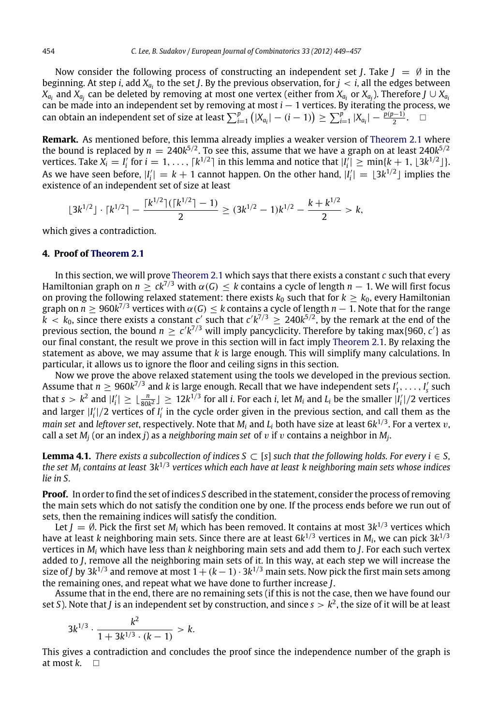Now consider the following process of constructing an independent set *J*. Take  $J = \emptyset$  in the beginning. At step *i*, add *X<sup>a</sup><sup>i</sup>* to the set *J*. By the previous observation, for *j* < *i*, all the edges between  $X_{a_i}$  and  $X_{a_j}$  can be deleted by removing at most one vertex (either from  $X_{a_i}$  or  $X_{a_j}$ ). Therefore  $J\cup X_{a_i}$ can be made into an independent set by removing at most *i* − 1 vertices. By iterating the process, we can obtain an independent set of size at least  $\sum_{i=1}^{p} (|X_{a_i}| - (i-1)) \ge \sum_{i=1}^{p} |X_{a_i}| - \frac{p(p-1)}{2}$ .

**Remark.** As mentioned before, this lemma already implies a weaker version of [Theorem 2.1](#page-1-3) where the bound is replaced by  $n = 240k^{5/2}$ . To see this, assume that we have a graph on at least 240 $k^{5/2}$ vertices. Take  $X_i = I'_i$  for  $i = 1, \ldots, \lceil k^{1/2} \rceil$  in this lemma and notice that  $|I'_i| \geq \min\{k+1, \lfloor 3k^{1/2} \rfloor\}.$ As we have seen before,  $|I'_i| = k + 1$  cannot happen. On the other hand,  $|I'_i| = [3k^{1/2}]$  implies the  $i$ ,  $j$ , we have seen before,  $|i_i| = \kappa + 1$  cannot is

$$
\lfloor 3k^{1/2} \rfloor \cdot \lceil k^{1/2} \rceil - \frac{\lceil k^{1/2} \rceil (\lceil k^{1/2} \rceil - 1)}{2} \ge (3k^{1/2} - 1)k^{1/2} - \frac{k + k^{1/2}}{2} > k,
$$

which gives a contradiction.

#### <span id="page-5-0"></span>**4. Proof of [Theorem 2.1](#page-1-3)**

In this section, we will prove [Theorem 2.1](#page-1-3) which says that there exists a constant *c* such that every Hamiltonian graph on  $n \geq ck^{7/3}$  with  $\alpha(G) \leq k$  contains a cycle of length  $n-1$ . We will first focus on proving the following relaxed statement: there exists  $k_0$  such that for  $k \geq k_0$ , every Hamiltonian graph on  $n\geq 960k^{7/3}$  vertices with  $\alpha(G)\leq k$  contains a cycle of length  $n-1.$  Note that for the range  $k < k_0$ , since there exists a constant *c'* such that  $c'k^{7/3} \geq 240k^{5/2}$ , by the remark at the end of the previous section, the bound  $n \geq c' k^{7/3}$  will imply pancyclicity. Therefore by taking max{960,  $c'$ } as our final constant, the result we prove in this section will in fact imply [Theorem 2.1.](#page-1-3) By relaxing the statement as above, we may assume that *k* is large enough. This will simplify many calculations. In particular, it allows us to ignore the floor and ceiling signs in this section.

Now we prove the above relaxed statement using the tools we developed in the previous section. Assume that  $n \ge 960k^{7/3}$  and k is large enough. Recall that we have independent sets  $I'_1, \ldots, I'_s$  such that  $s > k^2$  and  $|I'_i| \geq \lfloor \frac{n}{80k^2} \rfloor \geq 12k^{1/3}$  for all *i*. For each *i*, let  $M_i$  and  $L_i$  be the smaller  $|I'_i|/2$  vertices and larger  $|I_i|/2$  vertices of  $I_i$  in the cycle order given in the previous section, and call them as the *main set* and *leftover set*, respectively. Note that *M<sup>i</sup>* and *L<sup>i</sup>* both have size at least 6*k* 1/3 . For a vertex v, call a set *M<sup>j</sup>* (or an index *j*) as a *neighboring main set* of v if v contains a neighbor in *M<sup>j</sup>* .

<span id="page-5-1"></span>**Lemma 4.1.** *There exists a subcollection of indices*  $S \subset [s]$  *such that the following holds. For every i*  $\in S$ , the set M<sub>i</sub> contains at least 3k<sup>1/3</sup> vertices which each have at least k neighboring main sets whose indices *lie in S.*

**Proof.** In order to find the set of indices *S* described in the statement, consider the process of removing the main sets which do not satisfy the condition one by one. If the process ends before we run out of sets, then the remaining indices will satisfy the condition.

Let  $J=\emptyset$ . Pick the first set  $M_i$  which has been removed. It contains at most 3 $k^{1/3}$  vertices which have at least *k* neighboring main sets. Since there are at least 6*k* 1/3 vertices in *M<sup>i</sup>* , we can pick 3*k* 1/3 vertices in *M<sup>i</sup>* which have less than *k* neighboring main sets and add them to *J*. For each such vertex added to *J*, remove all the neighboring main sets of it. In this way, at each step we will increase the size of *J* by 3k<sup>1/3</sup> and remove at most 1  $+(k-1)\cdot 3k^{1/3}$  main sets. Now pick the first main sets among the remaining ones, and repeat what we have done to further increase *J*.

Assume that in the end, there are no remaining sets (if this is not the case, then we have found our set *S*). Note that *J* is an independent set by construction, and since  $s > k^2$ , the size of it will be at least

$$
3k^{1/3} \cdot \frac{k^2}{1 + 3k^{1/3} \cdot (k-1)} > k.
$$

This gives a contradiction and concludes the proof since the independence number of the graph is at most  $k$ .  $\Box$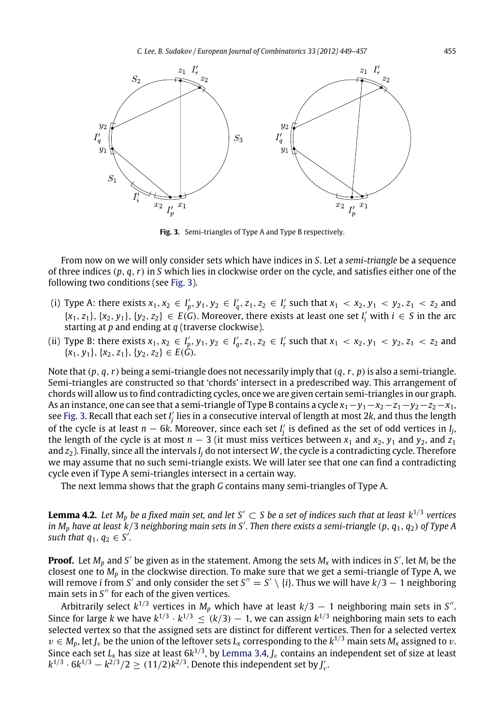<span id="page-6-0"></span>

**Fig. 3.** Semi-triangles of Type A and Type B respectively.

From now on we will only consider sets which have indices in *S*. Let a *semi-triangle* be a sequence of three indices (*p*, *q*,*r*) in *S* which lies in clockwise order on the cycle, and satisfies either one of the following two conditions (see [Fig. 3\)](#page-6-0).

- (i) Type A: there exists  $x_1, x_2 \in I'_p, y_1, y_2 \in I'_q, z_1, z_2 \in I'_r$  such that  $x_1 < x_2, y_1 < y_2, z_1 < z_2$  and  $\{x_1, z_1\}, \{x_2, y_1\}, \{y_2, z_2\} \in E(G)$ . Moreover, there exists at least one set *I*<sup>*i*</sup> with  $i \in S$  in the arc starting at *p* and ending at *q* (traverse clockwise).
- (ii) Type B: there exists  $x_1, x_2 \in I'_p, y_1, y_2 \in I'_q, z_1, z_2 \in I'_r$  such that  $x_1 < x_2, y_1 < y_2, z_1 < z_2$  and  ${x_1, y_1}, {x_2, z_1}, {y_2, z_2} ∈ E(\bar{G}).$

Note that (*p*, *q*,*r*) being a semi-triangle does not necessarily imply that (*q*,*r*, *p*)is also a semi-triangle. Semi-triangles are constructed so that 'chords' intersect in a predescribed way. This arrangement of chords will allow us to find contradicting cycles, once we are given certain semi-triangles in our graph. As an instance, one can see that a semi-triangle of Type B contains a cycle  $x_1 - y_1 - x_2 - z_1 - y_2 - z_2 - x_1$ , see [Fig. 3.](#page-6-0) Recall that each set *I* ′ *j* lies in a consecutive interval of length at most 2*k*, and thus the length of the cycle is at least  $n - 6k$ . Moreover, since each set  $I'_j$  is defined as the set of odd vertices in  $I_j$ , the length of the cycle is at most  $n - 3$  (it must miss vertices between  $x_1$  and  $x_2$ ,  $y_1$  and  $y_2$ , and  $z_1$ and  $z_2$ ). Finally, since all the intervals  $I_i$  do not intersect  $W$ , the cycle is a contradicting cycle. Therefore we may assume that no such semi-triangle exists. We will later see that one can find a contradicting cycle even if Type A semi-triangles intersect in a certain way.

<span id="page-6-1"></span>The next lemma shows that the graph *G* contains many semi-triangles of Type A.

**Lemma 4.2.** Let  $M_p$  be a fixed main set, and let S'  $\subset$  S be a set of indices such that at least  $k^{1/3}$  vertices *in M<sup>p</sup> have at least k*/<sup>3</sup> *neighboring main sets in S*′ *. Then there exists a semi-triangle* (*p*, *q*1, *q*2) *of Type A such that*  $q_1, q_2 \in S'$ .

**Proof.** Let *M<sup>p</sup>* and *S* ′ be given as in the statement. Among the sets *<sup>M</sup><sup>x</sup>* with indices in *<sup>S</sup>* ′ , let *M<sup>i</sup>* be the closest one to *M<sup>p</sup>* in the clockwise direction. To make sure that we get a semi-triangle of Type A, we will remove *i* from *S'* and only consider the set  $S'' = S' \setminus \{i\}$ . Thus we will have  $k/3 - 1$  neighboring main sets in S<sup>"</sup> for each of the given vertices.

Arbitrarily select  $k^{1/3}$  vertices in  $M_p$  which have at least  $k/3-1$  neighboring main sets in S''. Since for large *k* we have  $k^{1/3} \cdot k^{1/3} \le (k/3) - 1$ , we can assign  $k^{1/3}$  neighboring main sets to each selected vertex so that the assigned sets are distinct for different vertices. Then for a selected vertex  $v \in M_p$ , let  $J_v$  be the union of the leftover sets  $L_x$  corresponding to the  $k^{1/3}$  main sets  $M_x$  assigned to  $v$ . Since each set  $L_x$  has size at least  $6k^{1/3}$ , by [Lemma 3.4,](#page-4-2)  $J_v$  contains an independent set of size at least  $k^{1/3}$  ·  $6k^{1/3} - k^{2/3}/2 \ge (11/2)k^{2/3}$ . Denote this independent set by *J*<sub>*v*</sub>.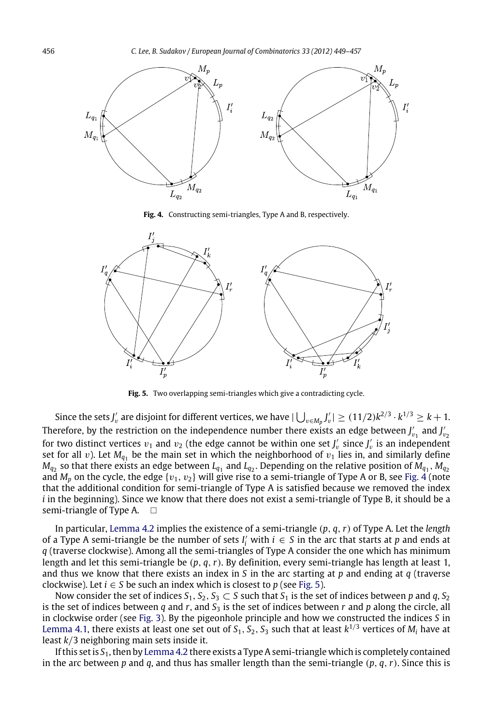<span id="page-7-0"></span>

**Fig. 4.** Constructing semi-triangles, Type A and B, respectively.

<span id="page-7-1"></span>

**Fig. 5.** Two overlapping semi-triangles which give a contradicting cycle.

Since the sets *J'<sub>v</sub>* are disjoint for different vertices, we have  $|\bigcup_{v\in M_p}J'_v|\geq (11/2)k^{2/3}\cdot k^{1/3}\geq k+1.$ Therefore, by the restriction on the independence number there exists an edge between  $J'_{v_1}$  and  $J'_{v_2}$ for two distinct vertices  $v_1$  and  $v_2$  (the edge cannot be within one set  $J'_v$  since  $J'_v$  is an independent set for all  $v$ ). Let  $M_{q_1}$  be the main set in which the neighborhood of  $v_1$  lies in, and similarly define  $M_{q_2}$  so that there exists an edge between  $L_{q_1}$  and  $L_{q_2}$ . Depending on the relative position of  $M_{q_1}, M_{q_2}$ and  $M_p$  on the cycle, the edge  $\{v_1,\,v_2\}$  will give rise to a semi-triangle of Type A or B, see [Fig. 4](#page-7-0) (note that the additional condition for semi-triangle of Type A is satisfied because we removed the index *i* in the beginning). Since we know that there does not exist a semi-triangle of Type B, it should be a semi-triangle of Type A.  $\Box$ 

In particular, [Lemma 4.2](#page-6-1) implies the existence of a semi-triangle (*p*, *q*,*r*) of Type A. Let the *length* of a Type A semi-triangle be the number of sets *I*<sup>*i*</sup> with  $i \in S$  in the arc that starts at *p* and ends at *q* (traverse clockwise). Among all the semi-triangles of Type A consider the one which has minimum length and let this semi-triangle be (*p*, *q*,*r*). By definition, every semi-triangle has length at least 1, and thus we know that there exists an index in *S* in the arc starting at *p* and ending at *q* (traverse clockwise). Let  $i \in S$  be such an index which is closest to p (see [Fig. 5\)](#page-7-1).

Now consider the set of indices  $S_1$ ,  $S_2$ ,  $S_3 \subset S$  such that  $S_1$  is the set of indices between p and q,  $S_2$ is the set of indices between  $q$  and  $r$ , and  $S_3$  is the set of indices between  $r$  and  $p$  along the circle, all in clockwise order (see [Fig. 3\)](#page-6-0). By the pigeonhole principle and how we constructed the indices *S* in [Lemma 4.1,](#page-5-1) there exists at least one set out of  $S_1, S_2, S_3$  such that at least  $k^{1/3}$  vertices of  $M_i$  have at least *k*/3 neighboring main sets inside it.

If this set is *S*1, then by [Lemma 4.2](#page-6-1) there exists a Type A semi-triangle which is completely contained in the arc between *p* and *q*, and thus has smaller length than the semi-triangle (*p*, *q*,*r*). Since this is